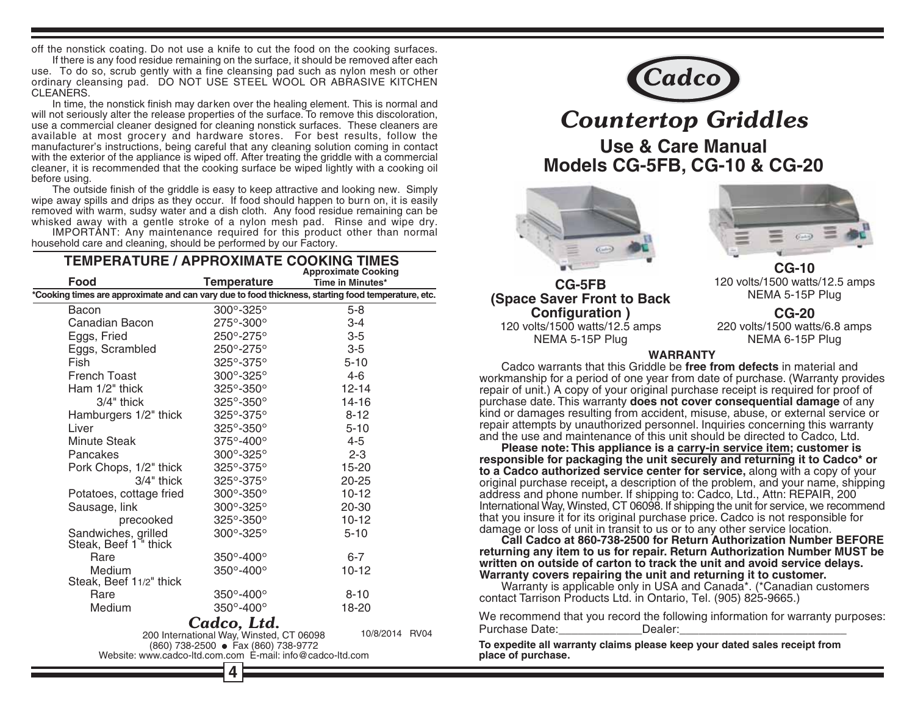off the nonstick coating. Do not use a knife to cut the food on the cooking surfaces.

If there is any food residue remaining on the surface, it should be removed after each use. To do so, scrub gently with a fine cleansing pad such as nylon mesh or other ordinary cleansing pad. DO NOT USE STEEL WOOL OR ABRASIVE KITCHEN CLEANERS.

In time, the nonstick finish may darken over the healing element. This is normal and will not seriously alter the release properties of the surface. To remove this discoloration, use a commercial cleaner designed for cleaning nonstick surfaces. These cleaners are available at most grocery and hardware stores. For best results, follow the manufacturer's instructions, being careful that any cleaning solution coming in contact with the exterior of the appliance is wiped off. After treating the griddle with a commercial cleaner, it is recommended that the cooking surface be wiped lightly with a cooking oil before using.

The outside finish of the griddle is easy to keep attractive and looking new. Simply wipe away spills and drips as they occur. If food should happen to burn on, it is easily removed with warm, sudsy water and a dish cloth. Any food residue remaining can be whisked away with a gentle stroke of a nylon mesh pad. Rinse and wipe dry.

IMPORTANT: Any maintenance required for this product other than normal household care and cleaning, should be performed by our Factory.

| <b>TEMPERATURE / APPROXIMATE COOKING TIMES</b><br><b>Approximate Cooking</b>                       |                                        |                  |
|----------------------------------------------------------------------------------------------------|----------------------------------------|------------------|
| Food                                                                                               | <b>Temperature</b>                     | Time in Minutes* |
| *Cooking times are approximate and can vary due to food thickness, starting food temperature, etc. |                                        |                  |
| Bacon                                                                                              | 300°-325°                              | $5 - 8$          |
| Canadian Bacon                                                                                     | 275°-300°                              | $3 - 4$          |
| Eggs, Fried                                                                                        | $250^{\circ} - 275^{\circ}$            | $3-5$            |
| Eggs, Scrambled                                                                                    | 250°-275°                              | $3-5$            |
| Fish                                                                                               | 325°-375°                              | $5 - 10$         |
| French Toast                                                                                       | $300^\circ - 325^\circ$                | $4-6$            |
| Ham $1/2$ " thick                                                                                  | $325^{\circ} - 350^{\circ}$            | $12 - 14$        |
| $3/4$ " thick                                                                                      | $325^\circ - 350^\circ$                | 14-16            |
| Hamburgers 1/2" thick                                                                              | $325^{\circ} - 375^{\circ}$            | $8 - 12$         |
| Liver                                                                                              | $325^{\circ} - 350^{\circ}$            | $5 - 10$         |
| <b>Minute Steak</b>                                                                                | 375°-400°                              | 4-5              |
| Pancakes                                                                                           | $300^\circ - 325^\circ$                | $2 - 3$          |
| Pork Chops, 1/2" thick                                                                             | $325^{\circ} - 375^{\circ}$            | 15-20            |
| $3/4$ " thick                                                                                      | $325^\circ - 375^\circ$                | $20 - 25$        |
| Potatoes, cottage fried                                                                            | 300°-350°                              | $10-12$          |
| Sausage, link                                                                                      | $300^{\circ} - 325^{\circ}$            | $20 - 30$        |
| precooked                                                                                          | $325^\circ - 350^\circ$                | $10-12$          |
| Sandwiches, grilled<br>Steak, Beef 1 " thick                                                       | $300^\circ - 325^\circ$                | $5 - 10$         |
| Rare                                                                                               | $350^\circ - 400^\circ$                | $6-7$            |
| Medium<br>Steak, Beef 11/2" thick                                                                  | $350^\circ - 400^\circ$                | $10 - 12$        |
| Rare                                                                                               | 350°-400°                              | $8 - 10$         |
| Medium                                                                                             | $350^\circ - 400^\circ$                | 18-20            |
|                                                                                                    | Cadco, Ltd.                            |                  |
|                                                                                                    | 200 International Way Winsted CT 06098 | 10/8/2014 RV04   |

00 memalumai way, winsted, CT 0609<br>(860) 738-2500 ● Fax (860) 738-9772 Website: www.cadco-ltd.com.com E-mail: info@cadco-ltd.com



# **Countertop Griddles**

**Use & Care Manual Models CG-5FB, CG-10 & CG-20** 





120 volts/1500 watts/12.5 amps NEMA 5-15P Plug



 $CG-10$ 120 volts/1500 watts/12.5 amps NEMA 5-15P Plug

 $CG-20$ 220 volts/1500 watts/6.8 amps NEMA 6-15P Plug

#### **WARRANTY**

Cadco warrants that this Griddle be free from defects in material and workmanship for a period of one year from date of purchase. (Warranty provides repair of unit.) A copy of your original purchase receipt is required for proof of purchase date. This warranty does not cover consequential damage of any kind or damages resulting from accident, misuse, abuse, or external service or repair attempts by unauthorized personnel. Inquiries concerning this warranty and the use and maintenance of this unit should be directed to Cadco, Ltd.

Please note: This appliance is a carry-in service item; customer is responsible for packaging the unit securely and returning it to Cadco\* or to a Cadco authorized service center for service, along with a copy of your original purchase receipt, a description of the problem, and your name, shipping address and phone number. If shipping to: Cadco, Ltd., Attn: REPAIR, 200 International Way, Winsted, CT 06098. If shipping the unit for service, we recommend that you insure it for its original purchase price. Cadco is not responsible for damage or loss of unit in transit to us or to any other service location.

Call Cadco at 860-738-2500 for Return Authorization Number BEFORE returning any item to us for repair. Return Authorization Number MUST be written on outside of carton to track the unit and avoid service delays. Warranty covers repairing the unit and returning it to customer.

Warranty is applicable only in USA and Canada\*. (\*Canadian customers contact Tarrison Products Ltd. in Ontario, Tel. (905) 825-9665.)

We recommend that you record the following information for warranty purposes: Purchase Date: Dealer:

To expedite all warranty claims please keep your dated sales receipt from place of purchase.